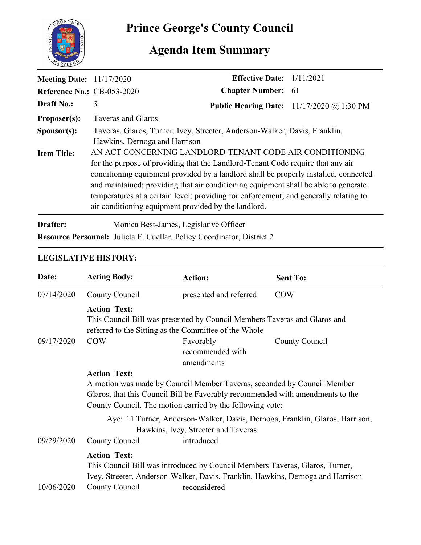

# **Prince George's County Council**

# **Agenda Item Summary**

| <b>Meeting Date:</b> 11/17/2020   |                                                                                                                                                                                                                                                                                                                                                                                                                                                                            | <b>Effective Date:</b> $1/11/2021$ |                                             |
|-----------------------------------|----------------------------------------------------------------------------------------------------------------------------------------------------------------------------------------------------------------------------------------------------------------------------------------------------------------------------------------------------------------------------------------------------------------------------------------------------------------------------|------------------------------------|---------------------------------------------|
| <b>Reference No.: CB-053-2020</b> |                                                                                                                                                                                                                                                                                                                                                                                                                                                                            | <b>Chapter Number: 61</b>          |                                             |
| <b>Draft No.:</b>                 | 3                                                                                                                                                                                                                                                                                                                                                                                                                                                                          |                                    | Public Hearing Date: $11/17/2020$ @ 1:30 PM |
| Proposer(s):                      | Taveras and Glaros                                                                                                                                                                                                                                                                                                                                                                                                                                                         |                                    |                                             |
| S <b>p</b> onsor(s):              | Taveras, Glaros, Turner, Ivey, Streeter, Anderson-Walker, Davis, Franklin,<br>Hawkins, Dernoga and Harrison                                                                                                                                                                                                                                                                                                                                                                |                                    |                                             |
| <b>Item Title:</b>                | AN ACT CONCERNING LANDLORD-TENANT CODE AIR CONDITIONING<br>for the purpose of providing that the Landlord-Tenant Code require that any air<br>conditioning equipment provided by a landlord shall be properly installed, connected<br>and maintained; providing that air conditioning equipment shall be able to generate<br>temperatures at a certain level; providing for enforcement; and generally relating to<br>air conditioning equipment provided by the landlord. |                                    |                                             |

**Drafter:** Monica Best-James, Legislative Officer **Resource Personnel:** Julieta E. Cuellar, Policy Coordinator, District 2

## **LEGISLATIVE HISTORY:**

| Date:      | <b>Acting Body:</b>                                                                                                                                                                                                                           | <b>Action:</b>                                                                               | <b>Sent To:</b>                                                                 |  |
|------------|-----------------------------------------------------------------------------------------------------------------------------------------------------------------------------------------------------------------------------------------------|----------------------------------------------------------------------------------------------|---------------------------------------------------------------------------------|--|
| 07/14/2020 | County Council                                                                                                                                                                                                                                | presented and referred                                                                       | <b>COW</b>                                                                      |  |
|            | <b>Action Text:</b><br>This Council Bill was presented by Council Members Taveras and Glaros and<br>referred to the Sitting as the Committee of the Whole                                                                                     |                                                                                              |                                                                                 |  |
| 09/17/2020 | <b>COW</b>                                                                                                                                                                                                                                    | Favorably<br>recommended with<br>amendments                                                  | County Council                                                                  |  |
|            | <b>Action Text:</b><br>A motion was made by Council Member Taveras, seconded by Council Member<br>Glaros, that this Council Bill be Favorably recommended with amendments to the<br>County Council. The motion carried by the following vote: |                                                                                              |                                                                                 |  |
| 09/29/2020 | Aye: 11 Turner, Anderson-Walker, Davis, Dernoga, Franklin, Glaros, Harrison,<br>Hawkins, Ivey, Streeter and Taveras<br>County Council<br>introduced                                                                                           |                                                                                              |                                                                                 |  |
| 10/06/2020 | <b>Action Text:</b><br>County Council                                                                                                                                                                                                         | This Council Bill was introduced by Council Members Taveras, Glaros, Turner,<br>reconsidered | Ivey, Streeter, Anderson-Walker, Davis, Franklin, Hawkins, Dernoga and Harrison |  |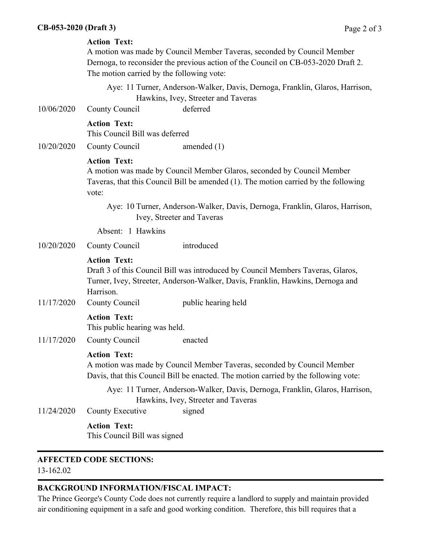#### **Action Text:**

A motion was made by Council Member Taveras, seconded by Council Member Dernoga, to reconsider the previous action of the Council on CB-053-2020 Draft 2. The motion carried by the following vote:

Aye: 11 Turner, Anderson-Walker, Davis, Dernoga, Franklin, Glaros, Harrison, Hawkins, Ivey, Streeter and Taveras

10/06/2020 County Council deferred

#### **Action Text:**

This Council Bill was deferred

10/20/2020 County Council amended (1)

#### **Action Text:**

A motion was made by Council Member Glaros, seconded by Council Member Taveras, that this Council Bill be amended (1). The motion carried by the following vote:

Aye: 10 Turner, Anderson-Walker, Davis, Dernoga, Franklin, Glaros, Harrison, Ivey, Streeter and Taveras

Absent: 1 Hawkins

10/20/2020 County Council introduced

#### **Action Text:**

Draft 3 of this Council Bill was introduced by Council Members Taveras, Glaros, Turner, Ivey, Streeter, Anderson-Walker, Davis, Franklin, Hawkins, Dernoga and Harrison.

11/17/2020 County Council public hearing held

#### **Action Text:**

This public hearing was held.

11/17/2020 County Council enacted

#### **Action Text:**

A motion was made by Council Member Taveras, seconded by Council Member Davis, that this Council Bill be enacted. The motion carried by the following vote:

Aye: 11 Turner, Anderson-Walker, Davis, Dernoga, Franklin, Glaros, Harrison, Hawkins, Ivey, Streeter and Taveras

11/24/2020 County Executive signed

#### **Action Text:**

This Council Bill was signed

### **AFFECTED CODE SECTIONS:**

13-162.02

### **BACKGROUND INFORMATION/FISCAL IMPACT:**

The Prince George's County Code does not currently require a landlord to supply and maintain provided air conditioning equipment in a safe and good working condition. Therefore, this bill requires that a